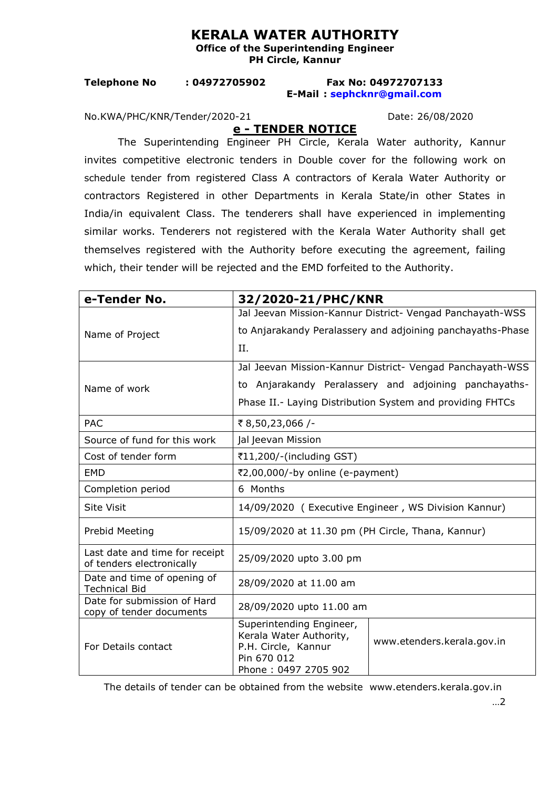## **KERALA WATER AUTHORITY**

**Office of the Superintending Engineer PH Circle, Kannur** 

## **Telephone No : 04972705902 Fax No: 04972707133 E-Mail : [sephcknr@gmail.com](mailto:sephcknr@gmail.com)**

No.KWA/PHC/KNR/Tender/2020-21 Date: 26/08/2020

**e - TENDER NOTICE**

The Superintending Engineer PH Circle, Kerala Water authority, Kannur invites competitive electronic tenders in Double cover for the following work on schedule tender from registered Class A contractors of Kerala Water Authority or contractors Registered in other Departments in Kerala State/in other States in India/in equivalent Class. The tenderers shall have experienced in implementing similar works. Tenderers not registered with the Kerala Water Authority shall get themselves registered with the Authority before executing the agreement, failing which, their tender will be rejected and the EMD forfeited to the Authority.

| e-Tender No.                                                | 32/2020-21/PHC/KNR                                                                                                |                            |
|-------------------------------------------------------------|-------------------------------------------------------------------------------------------------------------------|----------------------------|
| Name of Project                                             | Jal Jeevan Mission-Kannur District- Vengad Panchayath-WSS                                                         |                            |
|                                                             | to Anjarakandy Peralassery and adjoining panchayaths-Phase                                                        |                            |
|                                                             | II.                                                                                                               |                            |
| Name of work                                                | Jal Jeevan Mission-Kannur District- Vengad Panchayath-WSS                                                         |                            |
|                                                             | to Anjarakandy Peralassery and adjoining panchayaths-                                                             |                            |
|                                                             | Phase II.- Laying Distribution System and providing FHTCs                                                         |                            |
| <b>PAC</b>                                                  | ₹8,50,23,066/-                                                                                                    |                            |
| Source of fund for this work                                | Jal Jeevan Mission                                                                                                |                            |
| Cost of tender form                                         | ₹11,200/-(including GST)                                                                                          |                            |
| <b>EMD</b>                                                  | ₹2,00,000/-by online (e-payment)                                                                                  |                            |
| Completion period                                           | 6 Months                                                                                                          |                            |
| <b>Site Visit</b>                                           | 14/09/2020 (Executive Engineer, WS Division Kannur)                                                               |                            |
| Prebid Meeting                                              | 15/09/2020 at 11.30 pm (PH Circle, Thana, Kannur)                                                                 |                            |
| Last date and time for receipt<br>of tenders electronically | 25/09/2020 upto 3.00 pm                                                                                           |                            |
| Date and time of opening of<br><b>Technical Bid</b>         | 28/09/2020 at 11.00 am                                                                                            |                            |
| Date for submission of Hard<br>copy of tender documents     | 28/09/2020 upto 11.00 am                                                                                          |                            |
| For Details contact                                         | Superintending Engineer,<br>Kerala Water Authority,<br>P.H. Circle, Kannur<br>Pin 670 012<br>Phone: 0497 2705 902 | www.etenders.kerala.gov.in |

The details of tender can be obtained from the website www.etenders.kerala.gov.in